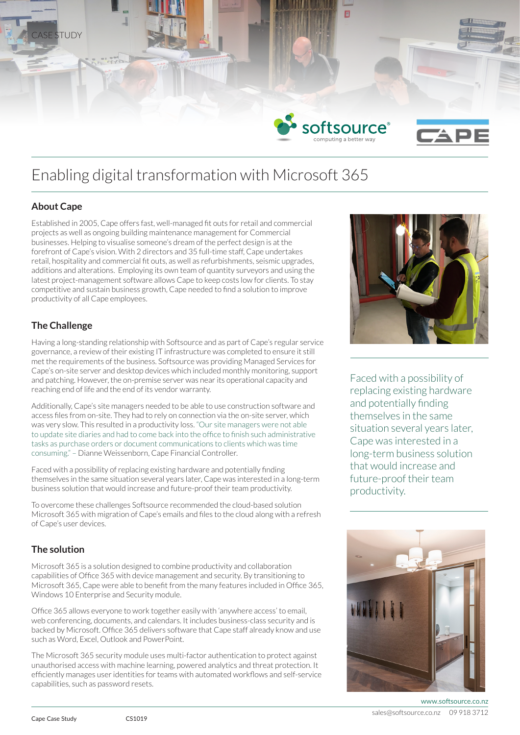

# Enabling digital transformation with Microsoft 365

# **About Cape**

Established in 2005, Cape offers fast, well-managed fit outs for retail and commercial projects as well as ongoing building maintenance management for Commercial businesses. Helping to visualise someone's dream of the perfect design is at the forefront of Cape's vision. With 2 directors and 35 full-time staff, Cape undertakes retail, hospitality and commercial fit outs, as well as refurbishments, seismic upgrades, additions and alterations. Employing its own team of quantity surveyors and using the latest project-management software allows Cape to keep costs low for clients. To stay competitive and sustain business growth, Cape needed to find a solution to improve productivity of all Cape employees.

## **The Challenge**

Having a long-standing relationship with Softsource and as part of Cape's regular service governance, a review of their existing IT infrastructure was completed to ensure it still met the requirements of the business. Softsource was providing Managed Services for Cape's on-site server and desktop devices which included monthly monitoring, support and patching. However, the on-premise server was near its operational capacity and reaching end of life and the end of its vendor warranty.

Additionally, Cape's site managers needed to be able to use construction software and access files from on-site. They had to rely on connection via the on-site server, which was very slow. This resulted in a productivity loss. "Our site managers were not able to update site diaries and had to come back into the office to finish such administrative tasks as purchase orders or document communications to clients which was time consuming." – Dianne Weissenborn, Cape Financial Controller.

Faced with a possibility of replacing existing hardware and potentially finding themselves in the same situation several years later, Cape was interested in a long-term business solution that would increase and future-proof their team productivity.

To overcome these challenges Softsource recommended the cloud-based solution Microsoft 365 with migration of Cape's emails and files to the cloud along with a refresh of Cape's user devices.

# **The solution**

Microsoft 365 is a solution designed to combine productivity and collaboration capabilities of Office 365 with device management and security. By transitioning to Microsoft 365, Cape were able to benefit from the many features included in Office 365, Windows 10 Enterprise and Security module.

Office 365 allows everyone to work together easily with 'anywhere access' to email, web conferencing, documents, and calendars. It includes business-class security and is backed by Microsoft. Office 365 delivers software that Cape staff already know and use such as Word, Excel, Outlook and PowerPoint.

The Microsoft 365 security module uses multi-factor authentication to protect against unauthorised access with machine learning, powered analytics and threat protection. It efficiently manages user identities for teams with automated workflows and self-service capabilities, such as password resets.



Faced with a possibility of replacing existing hardware and potentially finding themselves in the same situation several years later. Cape was interested in a long-term business solution that would increase and future-proof their team productivity.



www.softsource.co.nz sales@softsource.co.nz 09 918 3712